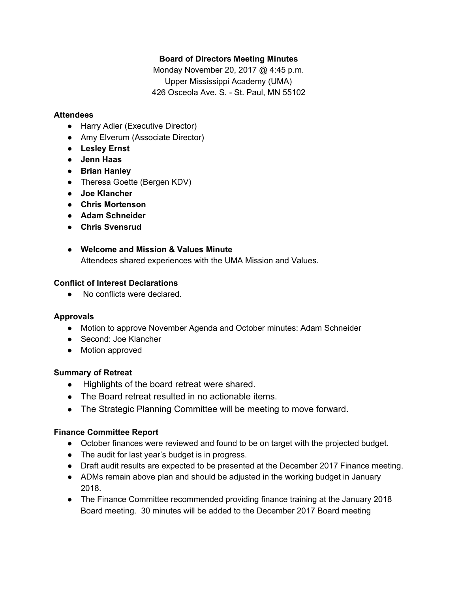## **Board of Directors Meeting Minutes**

Monday November 20, 2017 @ 4:45 p.m. Upper Mississippi Academy (UMA) 426 Osceola Ave. S. - St. Paul, MN 55102

### **Attendees**

- Harry Adler (Executive Director)
- Amy Elverum (Associate Director)
- **● Lesley Ernst**
- **● Jenn Haas**
- **● Brian Hanley**
- Theresa Goette (Bergen KDV)
- **● Joe Klancher**
- **● Chris Mortenson**
- **● Adam Schneider**
- **● Chris Svensrud**
- **Welcome and Mission & Values Minute** Attendees shared experiences with the UMA Mission and Values.

### **Conflict of Interest Declarations**

● No conflicts were declared.

## **Approvals**

- Motion to approve November Agenda and October minutes: Adam Schneider
- Second: Joe Klancher
- Motion approved

## **Summary of Retreat**

- Highlights of the board retreat were shared.
- The Board retreat resulted in no actionable items.
- The Strategic Planning Committee will be meeting to move forward.

#### **Finance Committee Report**

- October finances were reviewed and found to be on target with the projected budget.
- The audit for last year's budget is in progress.
- Draft audit results are expected to be presented at the December 2017 Finance meeting.
- ADMs remain above plan and should be adjusted in the working budget in January 2018.
- The Finance Committee recommended providing finance training at the January 2018 Board meeting. 30 minutes will be added to the December 2017 Board meeting